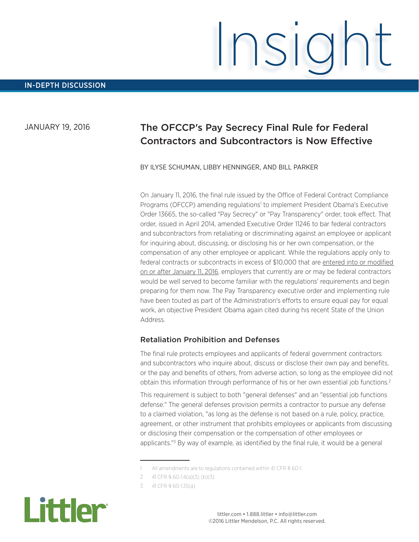# JANUARY 19, 2016

# The OFCCP's Pay Secrecy Final Rule for Federal Contractors and Subcontractors is Now Effective

Insight

#### BY ILYSE SCHUMAN, LIBBY HENNINGER, AND BILL PARKER

On January 11, 2016, the final rule issued by the Office of Federal Contract Compliance Programs (OFCCP) amending regulations<sup>1</sup> to implement President Obama's Executive Order 13665, the so-called "Pay Secrecy" or "Pay Transparency" order, took effect. That order, issued in April 2014, amended Executive Order 11246 to bar federal contractors and subcontractors from retaliating or discriminating against an employee or applicant for inquiring about, discussing, or disclosing his or her own compensation, or the compensation of any other employee or applicant. While the regulations apply only to federal contracts or subcontracts in excess of \$10,000 that are entered into or modified on or after January 11, 2016, employers that currently are or may be federal contractors would be well served to become familiar with the regulations' requirements and begin preparing for them now. The Pay Transparency executive order and implementing rule have been touted as part of the Administration's efforts to ensure equal pay for equal work, an objective President Obama again cited during his recent State of the Union Address.

#### Retaliation Prohibition and Defenses

The final rule protects employees and applicants of federal government contractors and subcontractors who inquire about, discuss or disclose their own pay and benefits, or the pay and benefits of others, from adverse action, so long as the employee did not obtain this information through performance of his or her own essential job functions.2

This requirement is subject to both "general defenses" and an "essential job functions defense." The general defenses provision permits a contractor to pursue any defense to a claimed violation, "as long as the defense is not based on a rule, policy, practice, agreement, or other instrument that prohibits employees or applicants from discussing or disclosing their compensation or the compensation of other employees or applicants.<sup>"3</sup> By way of example, as identified by the final rule, it would be a general

<sup>3</sup> 41 CFR § 60-1.35(a).



<sup>1</sup> All amendments are to regulations contained within 41 CFR § 60-1.

<sup>2</sup> 41 CFR § 60-1.4(a)(3), (b)(3).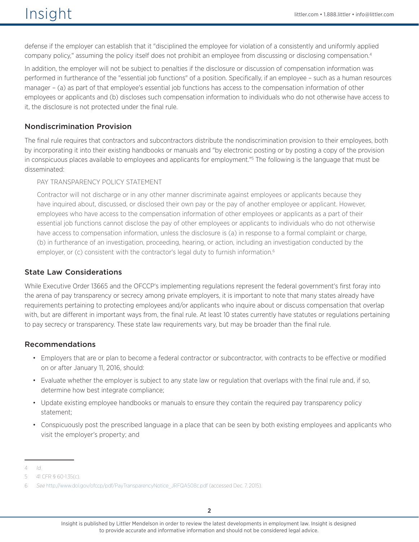# $\overline{\text{insight}}$   $\text{insight}$   $\text{infinite}$   $\text{infinite}$ .  $\text{infinite}$ .  $\text{infinite}$ .  $\text{infinite}$ .  $\text{infinite}$ .  $\text{infinite}$ .  $\text{infinite}$ .  $\text{infinite}$ .  $\text{infinite}$ .  $\text{infinite}$ .  $\text{infinite}$ .  $\text{infinite}$ .  $\text{infinite}$ .  $\text{infinite}$ .  $\text{infinite}$ .  $\text{infinite}$ .  $\text{infinite}$ .  $\text{infinite}$ .  $\text{infinite}$ .

defense if the employer can establish that it "disciplined the employee for violation of a consistently and uniformly applied company policy," assuming the policy itself does not prohibit an employee from discussing or disclosing compensation.4

In addition, the employer will not be subject to penalties if the disclosure or discussion of compensation information was performed in furtherance of the "essential job functions" of a position. Specifically, if an employee – such as a human resources manager – (a) as part of that employee's essential job functions has access to the compensation information of other employees or applicants and (b) discloses such compensation information to individuals who do not otherwise have access to it, the disclosure is not protected under the final rule.

## Nondiscrimination Provision

The final rule requires that contractors and subcontractors distribute the nondiscrimination provision to their employees, both by incorporating it into their existing handbooks or manuals and "by electronic posting or by posting a copy of the provision in conspicuous places available to employees and applicants for employment."5 The following is the language that must be disseminated:

PAY TRANSPARENCY POLICY STATEMENT

Contractor will not discharge or in any other manner discriminate against employees or applicants because they have inquired about, discussed, or disclosed their own pay or the pay of another employee or applicant. However, employees who have access to the compensation information of other employees or applicants as a part of their essential job functions cannot disclose the pay of other employees or applicants to individuals who do not otherwise have access to compensation information, unless the disclosure is (a) in response to a formal complaint or charge, (b) in furtherance of an investigation, proceeding, hearing, or action, including an investigation conducted by the employer, or (c) consistent with the contractor's legal duty to furnish information.<sup>6</sup>

### State Law Considerations

While Executive Order 13665 and the OFCCP's implementing regulations represent the federal government's first foray into the arena of pay transparency or secrecy among private employers, it is important to note that many states already have requirements pertaining to protecting employees and/or applicants who inquire about or discuss compensation that overlap with, but are different in important ways from, the final rule. At least 10 states currently have statutes or regulations pertaining to pay secrecy or transparency. These state law requirements vary, but may be broader than the final rule.

### Recommendations

- Employers that are or plan to become a federal contractor or subcontractor, with contracts to be effective or modified on or after January 11, 2016, should:
- Evaluate whether the employer is subject to any state law or regulation that overlaps with the final rule and, if so, determine how best integrate compliance;
- Update existing employee handbooks or manuals to ensure they contain the required pay transparency policy statement;
- Conspicuously post the prescribed language in a place that can be seen by both existing employees and applicants who visit the employer's property; and

<sup>4</sup> Id.

<sup>5</sup> 41 CFR § 60-1.35(c).

<sup>6</sup> See [http://www.dol.gov/ofccp/pdf/PayTransparencyNotice\\_JRFQA508c.pdf](http://www.dol.gov/ofccp/pdf/PayTransparencyNotice_JRFQA508c.pdf) (accessed Dec. 7, 2015).